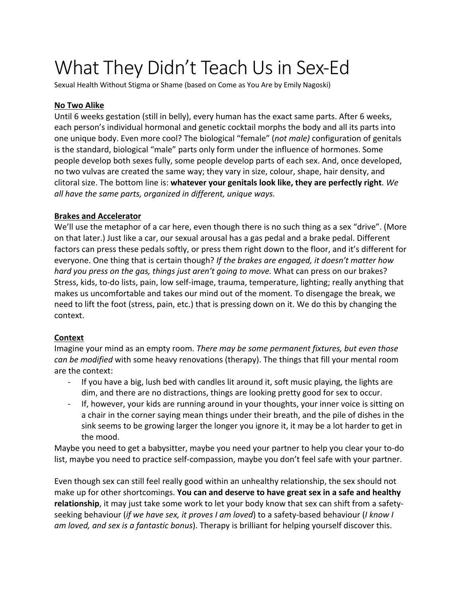# What They Didn't Teach Us in Sex-Ed

Sexual Health Without Stigma or Shame (based on Come as You Are by Emily Nagoski)

## **No Two Alike**

Until 6 weeks gestation (still in belly), every human has the exact same parts. After 6 weeks, each person's individual hormonal and genetic cocktail morphs the body and all its parts into one unique body. Even more cool? The biological "female" (*not male)* configuration of genitals is the standard, biological "male" parts only form under the influence of hormones. Some people develop both sexes fully, some people develop parts of each sex. And, once developed, no two vulvas are created the same way; they vary in size, colour, shape, hair density, and clitoral size. The bottom line is: **whatever your genitals look like, they are perfectly right**. *We all have the same parts, organized in different, unique ways.* 

## **Brakes and Accelerator**

We'll use the metaphor of a car here, even though there is no such thing as a sex "drive". (More on that later.) Just like a car, our sexual arousal has a gas pedal and a brake pedal. Different factors can press these pedals softly, or press them right down to the floor, and it's different for everyone. One thing that is certain though? *If the brakes are engaged, it doesn't matter how hard you press on the gas, things just aren't going to move.* What can press on our brakes? Stress, kids, to-do lists, pain, low self-image, trauma, temperature, lighting; really anything that makes us uncomfortable and takes our mind out of the moment. To disengage the break, we need to lift the foot (stress, pain, etc.) that is pressing down on it. We do this by changing the context.

#### **Context**

Imagine your mind as an empty room. *There may be some permanent fixtures, but even those can be modified* with some heavy renovations (therapy). The things that fill your mental room are the context:

- If you have a big, lush bed with candles lit around it, soft music playing, the lights are dim, and there are no distractions, things are looking pretty good for sex to occur.
- If, however, your kids are running around in your thoughts, your inner voice is sitting on a chair in the corner saying mean things under their breath, and the pile of dishes in the sink seems to be growing larger the longer you ignore it, it may be a lot harder to get in the mood.

Maybe you need to get a babysitter, maybe you need your partner to help you clear your to-do list, maybe you need to practice self-compassion, maybe you don't feel safe with your partner.

Even though sex can still feel really good within an unhealthy relationship, the sex should not make up for other shortcomings. **You can and deserve to have great sex in a safe and healthy relationship**, it may just take some work to let your body know that sex can shift from a safetyseeking behaviour (*if we have sex, it proves I am loved*) to a safety-based behaviour (*I know I am loved, and sex is a fantastic bonus*). Therapy is brilliant for helping yourself discover this.